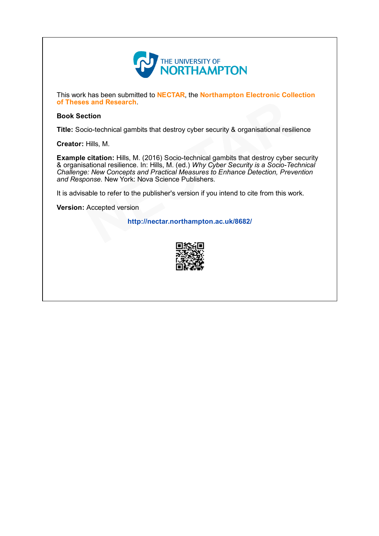

This work has been submitted to NECTAR, the Northampton Electronic Collection of Theses and Research.

#### Book Section

Title: Socio-technical gambits that destroy cyber security & organisational resilience

Creator: Hills, M.

**Example citation:** Hills, M. (2016) Socio-technical gambits that destroy cyber security & organisational resilience. In: Hills, M. (ed.) *Why Cyber Security is a Socio-Technical* Challenge: New Concepts and Practical Measures to Enhance Detection, Prevention and Response. New York: Nova Science Publishers. **s and Research**.<br>
cio-technical gambits that destroy cyber security & organisational resili<br>
Hills, M.<br> **citation:** Hills, M. (2016) Socio-technical gambits that destroy cyber sational resilience. In: Hills, M. (ed.) *Why* 

It is advisable to refer to the publisher's version if you intend to cite from this work.

Version: Accepted version

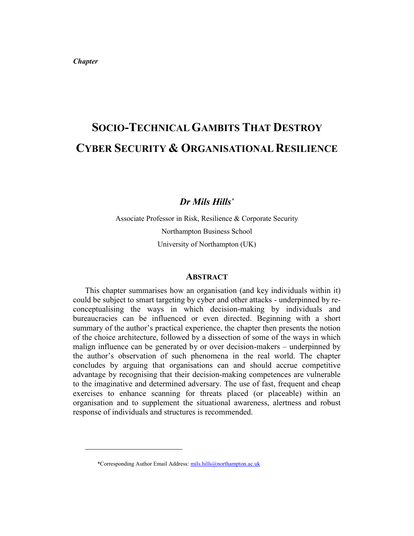*Chapter* 

-

# **SOCIO-TECHNICAL GAMBITS THAT DESTROY CYBER SECURITY & ORGANISATIONAL RESILIENCE**

### *Dr Mils Hills\**

Associate Professor in Risk, Resilience & Corporate Security Northampton Business School University of Northampton (UK)

#### **ABSTRACT**

This chapter summarises how an organisation (and key individuals within it) could be subject to smart targeting by cyber and other attacks - underpinned by reconceptualising the ways in which decision-making by individuals and bureaucracies can be influenced or even directed. Beginning with a short summary of the author's practical experience, the chapter then presents the notion of the choice architecture, followed by a dissection of some of the ways in which malign influence can be generated by or over decision-makers – underpinned by the author's observation of such phenomena in the real world. The chapter concludes by arguing that organisations can and should accrue competitive advantage by recognising that their decision-making competences are vulnerable to the imaginative and determined adversary. The use of fast, frequent and cheap exercises to enhance scanning for threats placed (or placeable) within an organisation and to supplement the situational awareness, alertness and robust response of individuals and structures is recommended.

<sup>\*</sup>Corresponding Author Email Address: [mils.hills@northampton.ac.uk](mailto:mils.hills@northampton.ac.uk)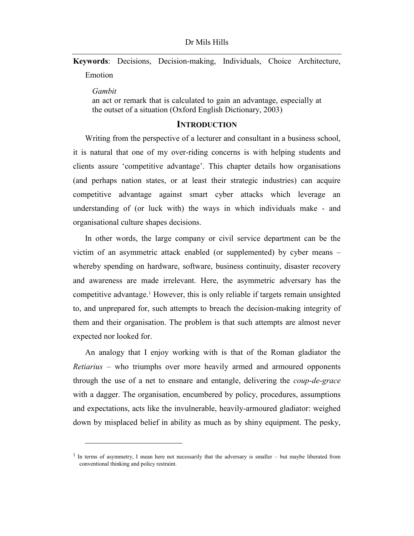**Keywords**: Decisions, Decision-making, Individuals, Choice Architecture, Emotion

*Gambit*

-

an act or remark that is calculated to gain an advantage, especially at the outset of a situation (Oxford English Dictionary, 2003)

### **INTRODUCTION**

Writing from the perspective of a lecturer and consultant in a business school, it is natural that one of my over-riding concerns is with helping students and clients assure 'competitive advantage'. This chapter details how organisations (and perhaps nation states, or at least their strategic industries) can acquire competitive advantage against smart cyber attacks which leverage an understanding of (or luck with) the ways in which individuals make - and organisational culture shapes decisions.

In other words, the large company or civil service department can be the victim of an asymmetric attack enabled (or supplemented) by cyber means – whereby spending on hardware, software, business continuity, disaster recovery and awareness are made irrelevant. Here, the asymmetric adversary has the competitive advantage.<sup>1</sup> However, this is only reliable if targets remain unsighted to, and unprepared for, such attempts to breach the decision-making integrity of them and their organisation. The problem is that such attempts are almost never expected nor looked for.

An analogy that I enjoy working with is that of the Roman gladiator the *Retiarius* – who triumphs over more heavily armed and armoured opponents through the use of a net to ensnare and entangle, delivering the *coup-de-grace* with a dagger. The organisation, encumbered by policy, procedures, assumptions and expectations, acts like the invulnerable, heavily-armoured gladiator: weighed down by misplaced belief in ability as much as by shiny equipment. The pesky,

<sup>&</sup>lt;sup>1</sup> In terms of asymmetry, I mean here not necessarily that the adversary is smaller – but maybe liberated from conventional thinking and policy restraint.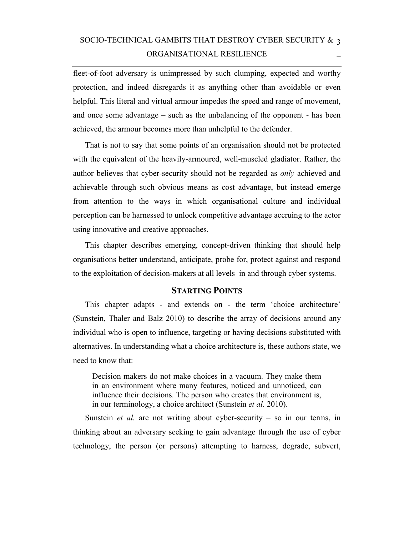# SOCIO-TECHNICAL GAMBITS THAT DESTROY CYBER SECURITY  $\&$  3 ORGANISATIONAL RESILIENCE

fleet-of-foot adversary is unimpressed by such clumping, expected and worthy protection, and indeed disregards it as anything other than avoidable or even helpful. This literal and virtual armour impedes the speed and range of movement, and once some advantage – such as the unbalancing of the opponent - has been achieved, the armour becomes more than unhelpful to the defender.

That is not to say that some points of an organisation should not be protected with the equivalent of the heavily-armoured, well-muscled gladiator. Rather, the author believes that cyber-security should not be regarded as *only* achieved and achievable through such obvious means as cost advantage, but instead emerge from attention to the ways in which organisational culture and individual perception can be harnessed to unlock competitive advantage accruing to the actor using innovative and creative approaches.

This chapter describes emerging, concept-driven thinking that should help organisations better understand, anticipate, probe for, protect against and respond to the exploitation of decision-makers at all levels in and through cyber systems.

### **STARTING POINTS**

This chapter adapts - and extends on - the term 'choice architecture' (Sunstein, Thaler and Balz 2010) to describe the array of decisions around any individual who is open to influence, targeting or having decisions substituted with alternatives. In understanding what a choice architecture is, these authors state, we need to know that:

Decision makers do not make choices in a vacuum. They make them in an environment where many features, noticed and unnoticed, can influence their decisions. The person who creates that environment is, in our terminology, a choice architect (Sunstein *et al.* 2010).

Sunstein *et al.* are not writing about cyber-security – so in our terms, in thinking about an adversary seeking to gain advantage through the use of cyber technology, the person (or persons) attempting to harness, degrade, subvert,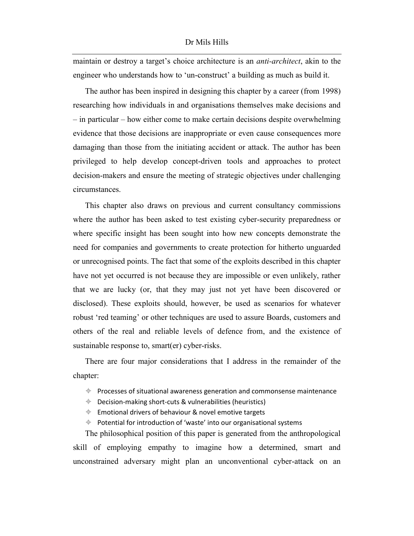maintain or destroy a target's choice architecture is an *anti-architect*, akin to the engineer who understands how to 'un-construct' a building as much as build it.

The author has been inspired in designing this chapter by a career (from 1998) researching how individuals in and organisations themselves make decisions and – in particular – how either come to make certain decisions despite overwhelming evidence that those decisions are inappropriate or even cause consequences more damaging than those from the initiating accident or attack. The author has been privileged to help develop concept-driven tools and approaches to protect decision-makers and ensure the meeting of strategic objectives under challenging circumstances.

This chapter also draws on previous and current consultancy commissions where the author has been asked to test existing cyber-security preparedness or where specific insight has been sought into how new concepts demonstrate the need for companies and governments to create protection for hitherto unguarded or unrecognised points. The fact that some of the exploits described in this chapter have not yet occurred is not because they are impossible or even unlikely, rather that we are lucky (or, that they may just not yet have been discovered or disclosed). These exploits should, however, be used as scenarios for whatever robust 'red teaming' or other techniques are used to assure Boards, customers and others of the real and reliable levels of defence from, and the existence of sustainable response to, smart(er) cyber-risks.

There are four major considerations that I address in the remainder of the chapter:

- $\triangleq$  Processes of situational awareness generation and commonsense maintenance
- $\triangleq$  Decision-making short-cuts & vulnerabilities (heuristics)
- $\triangleq$  Emotional drivers of behaviour & novel emotive targets

 $\triangleq$  Potential for introduction of 'waste' into our organisational systems

The philosophical position of this paper is generated from the anthropological skill of employing empathy to imagine how a determined, smart and unconstrained adversary might plan an unconventional cyber-attack on an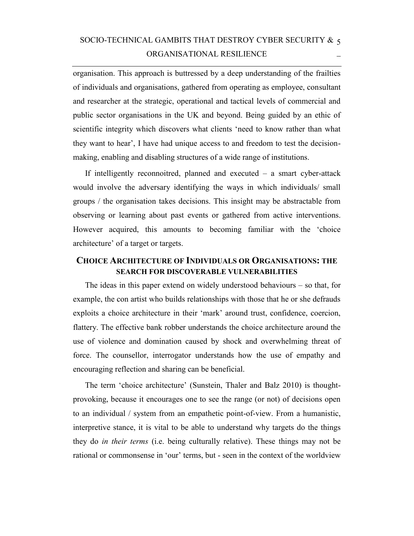# SOCIO-TECHNICAL GAMBITS THAT DESTROY CYBER SECURITY  $\&$  5 ORGANISATIONAL RESILIENCE

organisation. This approach is buttressed by a deep understanding of the frailties of individuals and organisations, gathered from operating as employee, consultant and researcher at the strategic, operational and tactical levels of commercial and public sector organisations in the UK and beyond. Being guided by an ethic of scientific integrity which discovers what clients 'need to know rather than what they want to hear', I have had unique access to and freedom to test the decisionmaking, enabling and disabling structures of a wide range of institutions.

If intelligently reconnoitred, planned and executed – a smart cyber-attack would involve the adversary identifying the ways in which individuals/ small groups / the organisation takes decisions. This insight may be abstractable from observing or learning about past events or gathered from active interventions. However acquired, this amounts to becoming familiar with the 'choice architecture' of a target or targets.

### **CHOICE ARCHITECTURE OF INDIVIDUALS OR ORGANISATIONS: THE SEARCH FOR DISCOVERABLE VULNERABILITIES**

The ideas in this paper extend on widely understood behaviours – so that, for example, the con artist who builds relationships with those that he or she defrauds exploits a choice architecture in their 'mark' around trust, confidence, coercion, flattery. The effective bank robber understands the choice architecture around the use of violence and domination caused by shock and overwhelming threat of force. The counsellor, interrogator understands how the use of empathy and encouraging reflection and sharing can be beneficial.

The term 'choice architecture' (Sunstein, Thaler and Balz 2010) is thoughtprovoking, because it encourages one to see the range (or not) of decisions open to an individual / system from an empathetic point-of-view. From a humanistic, interpretive stance, it is vital to be able to understand why targets do the things they do *in their terms* (i.e. being culturally relative). These things may not be rational or commonsense in 'our' terms, but - seen in the context of the worldview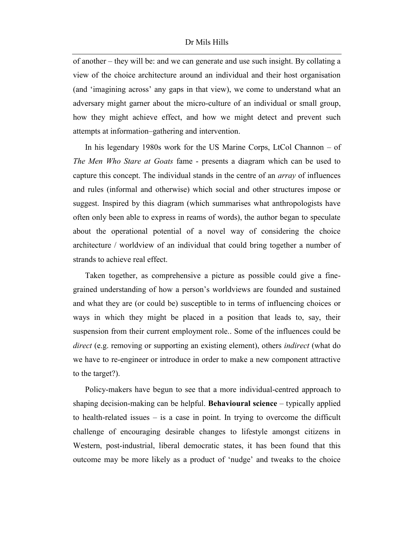of another – they will be: and we can generate and use such insight. By collating a view of the choice architecture around an individual and their host organisation (and 'imagining across' any gaps in that view), we come to understand what an adversary might garner about the micro-culture of an individual or small group, how they might achieve effect, and how we might detect and prevent such attempts at information–gathering and intervention.

In his legendary 1980s work for the US Marine Corps, LtCol Channon – of *The Men Who Stare at Goats* fame - presents a diagram which can be used to capture this concept. The individual stands in the centre of an *array* of influences and rules (informal and otherwise) which social and other structures impose or suggest. Inspired by this diagram (which summarises what anthropologists have often only been able to express in reams of words), the author began to speculate about the operational potential of a novel way of considering the choice architecture / worldview of an individual that could bring together a number of strands to achieve real effect.

Taken together, as comprehensive a picture as possible could give a finegrained understanding of how a person's worldviews are founded and sustained and what they are (or could be) susceptible to in terms of influencing choices or ways in which they might be placed in a position that leads to, say, their suspension from their current employment role.. Some of the influences could be *direct* (e.g. removing or supporting an existing element), others *indirect* (what do we have to re-engineer or introduce in order to make a new component attractive to the target?).

Policy-makers have begun to see that a more individual-centred approach to shaping decision-making can be helpful. **Behavioural science** – typically applied to health-related issues – is a case in point. In trying to overcome the difficult challenge of encouraging desirable changes to lifestyle amongst citizens in Western, post-industrial, liberal democratic states, it has been found that this outcome may be more likely as a product of 'nudge' and tweaks to the choice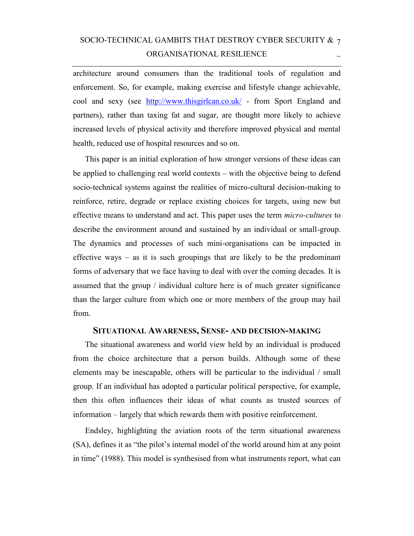# SOCIO-TECHNICAL GAMBITS THAT DESTROY CYBER SECURITY & 7 ORGANISATIONAL RESILIENCE

architecture around consumers than the traditional tools of regulation and enforcement. So, for example, making exercise and lifestyle change achievable, cool and sexy (see <http://www.thisgirlcan.co.uk/>- from Sport England and partners), rather than taxing fat and sugar, are thought more likely to achieve increased levels of physical activity and therefore improved physical and mental health, reduced use of hospital resources and so on.

This paper is an initial exploration of how stronger versions of these ideas can be applied to challenging real world contexts – with the objective being to defend socio-technical systems against the realities of micro-cultural decision-making to reinforce, retire, degrade or replace existing choices for targets, using new but effective means to understand and act. This paper uses the term *micro-cultures* to describe the environment around and sustained by an individual or small-group. The dynamics and processes of such mini-organisations can be impacted in effective ways – as it is such groupings that are likely to be the predominant forms of adversary that we face having to deal with over the coming decades. It is assumed that the group / individual culture here is of much greater significance than the larger culture from which one or more members of the group may hail from.

### **SITUATIONAL AWARENESS, SENSE- AND DECISION-MAKING**

The situational awareness and world view held by an individual is produced from the choice architecture that a person builds. Although some of these elements may be inescapable, others will be particular to the individual / small group. If an individual has adopted a particular political perspective, for example, then this often influences their ideas of what counts as trusted sources of information – largely that which rewards them with positive reinforcement.

Endsley, highlighting the aviation roots of the term situational awareness (SA), defines it as "the pilot's internal model of the world around him at any point in time" (1988). This model is synthesised from what instruments report, what can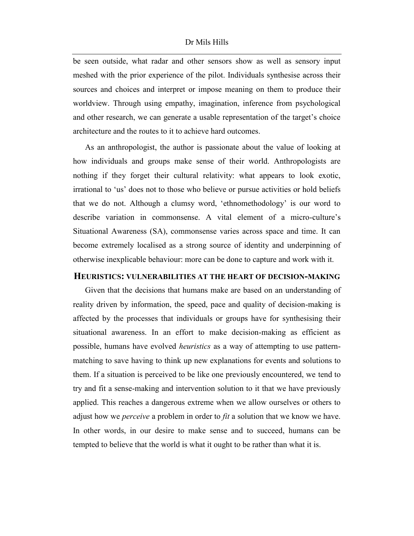be seen outside, what radar and other sensors show as well as sensory input meshed with the prior experience of the pilot. Individuals synthesise across their sources and choices and interpret or impose meaning on them to produce their worldview. Through using empathy, imagination, inference from psychological and other research, we can generate a usable representation of the target's choice architecture and the routes to it to achieve hard outcomes.

As an anthropologist, the author is passionate about the value of looking at how individuals and groups make sense of their world. Anthropologists are nothing if they forget their cultural relativity: what appears to look exotic, irrational to 'us' does not to those who believe or pursue activities or hold beliefs that we do not. Although a clumsy word, 'ethnomethodology' is our word to describe variation in commonsense. A vital element of a micro-culture's Situational Awareness (SA), commonsense varies across space and time. It can become extremely localised as a strong source of identity and underpinning of otherwise inexplicable behaviour: more can be done to capture and work with it.

#### **HEURISTICS: VULNERABILITIES AT THE HEART OF DECISION-MAKING**

Given that the decisions that humans make are based on an understanding of reality driven by information, the speed, pace and quality of decision-making is affected by the processes that individuals or groups have for synthesising their situational awareness. In an effort to make decision-making as efficient as possible, humans have evolved *heuristics* as a way of attempting to use patternmatching to save having to think up new explanations for events and solutions to them. If a situation is perceived to be like one previously encountered, we tend to try and fit a sense-making and intervention solution to it that we have previously applied. This reaches a dangerous extreme when we allow ourselves or others to adjust how we *perceive* a problem in order to *fit* a solution that we know we have. In other words, in our desire to make sense and to succeed, humans can be tempted to believe that the world is what it ought to be rather than what it is.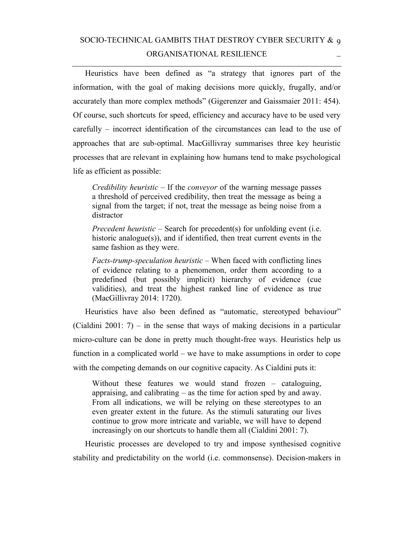# SOCIO-TECHNICAL GAMBITS THAT DESTROY CYBER SECURITY & 9 ORGANISATIONAL RESILIENCE

Heuristics have been defined as "a strategy that ignores part of the information, with the goal of making decisions more quickly, frugally, and/or accurately than more complex methods" (Gigerenzer and Gaissmaier 2011: 454). Of course, such shortcuts for speed, efficiency and accuracy have to be used very carefully – incorrect identification of the circumstances can lead to the use of approaches that are sub-optimal. MacGillivray summarises three key heuristic processes that are relevant in explaining how humans tend to make psychological life as efficient as possible:

*Credibility heuristic* – If the *conveyor* of the warning message passes a threshold of perceived credibility, then treat the message as being a signal from the target; if not, treat the message as being noise from a distractor

*Precedent heuristic* – Search for precedent(s) for unfolding event (i.e. historic analogue(s)), and if identified, then treat current events in the same fashion as they were.

*Facts-trump-speculation heuristic* – When faced with conflicting lines of evidence relating to a phenomenon, order them according to a predefined (but possibly implicit) hierarchy of evidence (cue validities), and treat the highest ranked line of evidence as true (MacGillivray 2014: 1720).

Heuristics have also been defined as "automatic, stereotyped behaviour" (Cialdini 2001: 7) – in the sense that ways of making decisions in a particular micro-culture can be done in pretty much thought-free ways. Heuristics help us function in a complicated world – we have to make assumptions in order to cope with the competing demands on our cognitive capacity. As Cialdini puts it:

Without these features we would stand frozen – cataloguing, appraising, and calibrating – as the time for action sped by and away. From all indications, we will be relying on these stereotypes to an even greater extent in the future. As the stimuli saturating our lives continue to grow more intricate and variable, we will have to depend increasingly on our shortcuts to handle them all (Cialdini 2001: 7).

Heuristic processes are developed to try and impose synthesised cognitive stability and predictability on the world (i.e. commonsense). Decision-makers in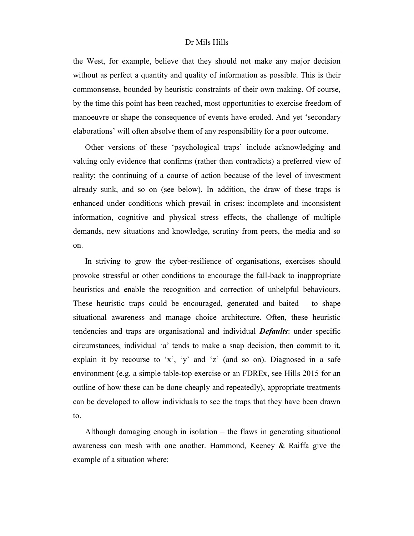the West, for example, believe that they should not make any major decision without as perfect a quantity and quality of information as possible. This is their commonsense, bounded by heuristic constraints of their own making. Of course, by the time this point has been reached, most opportunities to exercise freedom of manoeuvre or shape the consequence of events have eroded. And yet 'secondary elaborations' will often absolve them of any responsibility for a poor outcome.

Other versions of these 'psychological traps' include acknowledging and valuing only evidence that confirms (rather than contradicts) a preferred view of reality; the continuing of a course of action because of the level of investment already sunk, and so on (see below). In addition, the draw of these traps is enhanced under conditions which prevail in crises: incomplete and inconsistent information, cognitive and physical stress effects, the challenge of multiple demands, new situations and knowledge, scrutiny from peers, the media and so on.

In striving to grow the cyber-resilience of organisations, exercises should provoke stressful or other conditions to encourage the fall-back to inappropriate heuristics and enable the recognition and correction of unhelpful behaviours. These heuristic traps could be encouraged, generated and baited  $-$  to shape situational awareness and manage choice architecture. Often, these heuristic tendencies and traps are organisational and individual *Defaults*: under specific circumstances, individual 'a' tends to make a snap decision, then commit to it, explain it by recourse to 'x', 'y' and 'z' (and so on). Diagnosed in a safe environment (e.g. a simple table-top exercise or an FDREx, see Hills 2015 for an outline of how these can be done cheaply and repeatedly), appropriate treatments can be developed to allow individuals to see the traps that they have been drawn to.

Although damaging enough in isolation – the flaws in generating situational awareness can mesh with one another. Hammond, Keeney & Raiffa give the example of a situation where: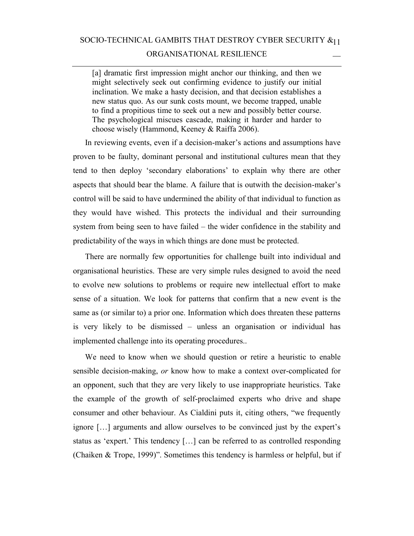[a] dramatic first impression might anchor our thinking, and then we might selectively seek out confirming evidence to justify our initial inclination. We make a hasty decision, and that decision establishes a new status quo. As our sunk costs mount, we become trapped, unable to find a propitious time to seek out a new and possibly better course. The psychological miscues cascade, making it harder and harder to choose wisely (Hammond, Keeney & Raiffa 2006).

In reviewing events, even if a decision-maker's actions and assumptions have proven to be faulty, dominant personal and institutional cultures mean that they tend to then deploy 'secondary elaborations' to explain why there are other aspects that should bear the blame. A failure that is outwith the decision-maker's control will be said to have undermined the ability of that individual to function as they would have wished. This protects the individual and their surrounding system from being seen to have failed – the wider confidence in the stability and predictability of the ways in which things are done must be protected.

There are normally few opportunities for challenge built into individual and organisational heuristics. These are very simple rules designed to avoid the need to evolve new solutions to problems or require new intellectual effort to make sense of a situation. We look for patterns that confirm that a new event is the same as (or similar to) a prior one. Information which does threaten these patterns is very likely to be dismissed – unless an organisation or individual has implemented challenge into its operating procedures..

We need to know when we should question or retire a heuristic to enable sensible decision-making, *or* know how to make a context over-complicated for an opponent, such that they are very likely to use inappropriate heuristics. Take the example of the growth of self-proclaimed experts who drive and shape consumer and other behaviour. As Cialdini puts it, citing others, "we frequently ignore […] arguments and allow ourselves to be convinced just by the expert's status as 'expert.' This tendency […] can be referred to as controlled responding (Chaiken & Trope, 1999)". Sometimes this tendency is harmless or helpful, but if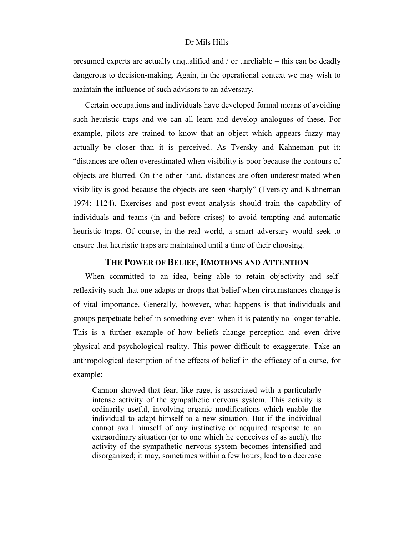presumed experts are actually unqualified and / or unreliable – this can be deadly dangerous to decision-making. Again, in the operational context we may wish to maintain the influence of such advisors to an adversary.

Certain occupations and individuals have developed formal means of avoiding such heuristic traps and we can all learn and develop analogues of these. For example, pilots are trained to know that an object which appears fuzzy may actually be closer than it is perceived. As Tversky and Kahneman put it: "distances are often overestimated when visibility is poor because the contours of objects are blurred. On the other hand, distances are often underestimated when visibility is good because the objects are seen sharply" (Tversky and Kahneman 1974: 1124). Exercises and post-event analysis should train the capability of individuals and teams (in and before crises) to avoid tempting and automatic heuristic traps. Of course, in the real world, a smart adversary would seek to ensure that heuristic traps are maintained until a time of their choosing.

### **THE POWER OF BELIEF, EMOTIONS AND ATTENTION**

When committed to an idea, being able to retain objectivity and selfreflexivity such that one adapts or drops that belief when circumstances change is of vital importance. Generally, however, what happens is that individuals and groups perpetuate belief in something even when it is patently no longer tenable. This is a further example of how beliefs change perception and even drive physical and psychological reality. This power difficult to exaggerate. Take an anthropological description of the effects of belief in the efficacy of a curse, for example:

Cannon showed that fear, like rage, is associated with a particularly intense activity of the sympathetic nervous system. This activity is ordinarily useful, involving organic modifications which enable the individual to adapt himself to a new situation. But if the individual cannot avail himself of any instinctive or acquired response to an extraordinary situation (or to one which he conceives of as such), the activity of the sympathetic nervous system becomes intensified and disorganized; it may, sometimes within a few hours, lead to a decrease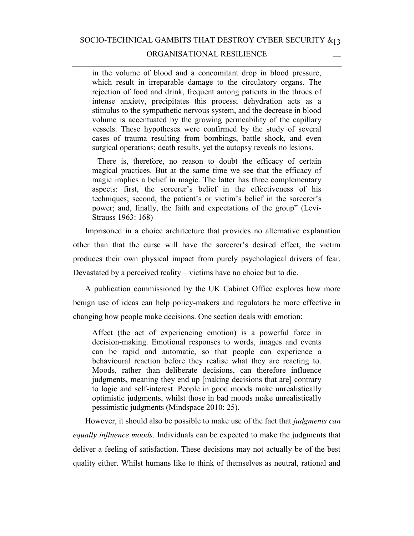SOCIO-TECHNICAL GAMBITS THAT DESTROY CYBER SECURITY  $\alpha_{13}$ 

#### ORGANISATIONAL RESILIENCE

in the volume of blood and a concomitant drop in blood pressure, which result in irreparable damage to the circulatory organs. The rejection of food and drink, frequent among patients in the throes of intense anxiety, precipitates this process; dehydration acts as a stimulus to the sympathetic nervous system, and the decrease in blood volume is accentuated by the growing permeability of the capillary vessels. These hypotheses were confirmed by the study of several cases of trauma resulting from bombings, battle shock, and even surgical operations; death results, yet the autopsy reveals no lesions.

 There is, therefore, no reason to doubt the efficacy of certain magical practices. But at the same time we see that the efficacy of magic implies a belief in magic. The latter has three complementary aspects: first, the sorcerer's belief in the effectiveness of his techniques; second, the patient's or victim's belief in the sorcerer's power; and, finally, the faith and expectations of the group" (Levi-Strauss 1963: 168)

Imprisoned in a choice architecture that provides no alternative explanation other than that the curse will have the sorcerer's desired effect, the victim produces their own physical impact from purely psychological drivers of fear. Devastated by a perceived reality – victims have no choice but to die.

A publication commissioned by the UK Cabinet Office explores how more benign use of ideas can help policy-makers and regulators be more effective in changing how people make decisions. One section deals with emotion:

Affect (the act of experiencing emotion) is a powerful force in decision-making. Emotional responses to words, images and events can be rapid and automatic, so that people can experience a behavioural reaction before they realise what they are reacting to. Moods, rather than deliberate decisions, can therefore influence judgments, meaning they end up [making decisions that are] contrary to logic and self-interest. People in good moods make unrealistically optimistic judgments, whilst those in bad moods make unrealistically pessimistic judgments (Mindspace 2010: 25).

However, it should also be possible to make use of the fact that *judgments can equally influence moods*. Individuals can be expected to make the judgments that deliver a feeling of satisfaction. These decisions may not actually be of the best quality either. Whilst humans like to think of themselves as neutral, rational and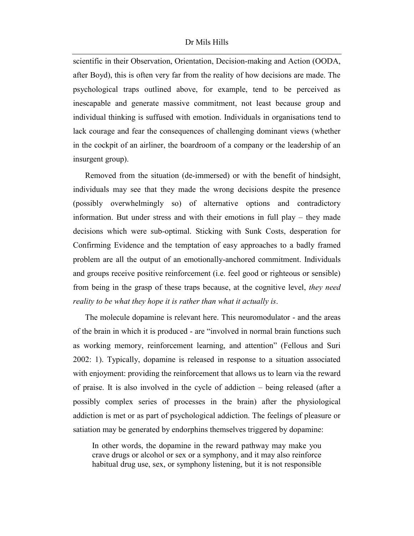scientific in their Observation, Orientation, Decision-making and Action (OODA, after Boyd), this is often very far from the reality of how decisions are made. The psychological traps outlined above, for example, tend to be perceived as inescapable and generate massive commitment, not least because group and individual thinking is suffused with emotion. Individuals in organisations tend to lack courage and fear the consequences of challenging dominant views (whether in the cockpit of an airliner, the boardroom of a company or the leadership of an insurgent group).

Removed from the situation (de-immersed) or with the benefit of hindsight, individuals may see that they made the wrong decisions despite the presence (possibly overwhelmingly so) of alternative options and contradictory information. But under stress and with their emotions in full play – they made decisions which were sub-optimal. Sticking with Sunk Costs, desperation for Confirming Evidence and the temptation of easy approaches to a badly framed problem are all the output of an emotionally-anchored commitment. Individuals and groups receive positive reinforcement (i.e. feel good or righteous or sensible) from being in the grasp of these traps because, at the cognitive level, *they need reality to be what they hope it is rather than what it actually is*.

The molecule dopamine is relevant here. This neuromodulator - and the areas of the brain in which it is produced - are "involved in normal brain functions such as working memory, reinforcement learning, and attention" (Fellous and Suri 2002: 1). Typically, dopamine is released in response to a situation associated with enjoyment: providing the reinforcement that allows us to learn via the reward of praise. It is also involved in the cycle of addiction – being released (after a possibly complex series of processes in the brain) after the physiological addiction is met or as part of psychological addiction. The feelings of pleasure or satiation may be generated by endorphins themselves triggered by dopamine:

In other words, the dopamine in the reward pathway may make you crave drugs or alcohol or sex or a symphony, and it may also reinforce habitual drug use, sex, or symphony listening, but it is not responsible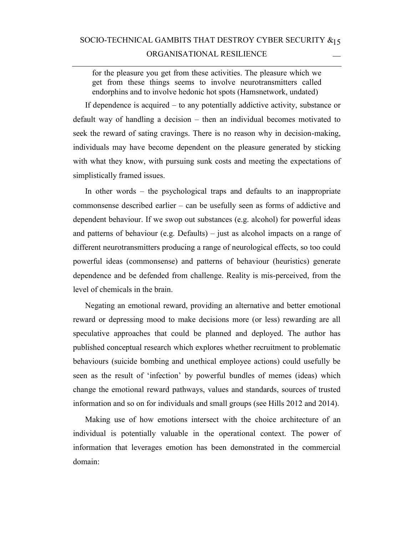# SOCIO-TECHNICAL GAMBITS THAT DESTROY CYBER SECURITY  $\alpha_{15}$ ORGANISATIONAL RESILIENCE

for the pleasure you get from these activities. The pleasure which we get from these things seems to involve neurotransmitters called endorphins and to involve hedonic hot spots (Hamsnetwork, undated)

If dependence is acquired – to any potentially addictive activity, substance or default way of handling a decision – then an individual becomes motivated to seek the reward of sating cravings. There is no reason why in decision-making, individuals may have become dependent on the pleasure generated by sticking with what they know, with pursuing sunk costs and meeting the expectations of simplistically framed issues.

In other words – the psychological traps and defaults to an inappropriate commonsense described earlier – can be usefully seen as forms of addictive and dependent behaviour. If we swop out substances (e.g. alcohol) for powerful ideas and patterns of behaviour (e.g. Defaults) – just as alcohol impacts on a range of different neurotransmitters producing a range of neurological effects, so too could powerful ideas (commonsense) and patterns of behaviour (heuristics) generate dependence and be defended from challenge. Reality is mis-perceived, from the level of chemicals in the brain.

Negating an emotional reward, providing an alternative and better emotional reward or depressing mood to make decisions more (or less) rewarding are all speculative approaches that could be planned and deployed. The author has published conceptual research which explores whether recruitment to problematic behaviours (suicide bombing and unethical employee actions) could usefully be seen as the result of 'infection' by powerful bundles of memes (ideas) which change the emotional reward pathways, values and standards, sources of trusted information and so on for individuals and small groups (see Hills 2012 and 2014).

Making use of how emotions intersect with the choice architecture of an individual is potentially valuable in the operational context. The power of information that leverages emotion has been demonstrated in the commercial domain: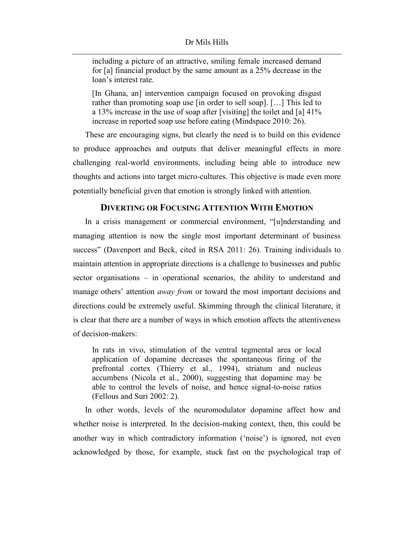#### Dr Mils Hills

including a picture of an attractive, smiling female increased demand for [a] financial product by the same amount as a 25% decrease in the loan's interest rate.

[In Ghana, an] intervention campaign focused on provoking disgust rather than promoting soap use [in order to sell soap]. […] This led to a 13% increase in the use of soap after [visiting] the toilet and [a] 41% increase in reported soap use before eating (Mindspace 2010: 26).

These are encouraging signs, but clearly the need is to build on this evidence to produce approaches and outputs that deliver meaningful effects in more challenging real-world environments, including being able to introduce new thoughts and actions into target micro-cultures. This objective is made even more potentially beneficial given that emotion is strongly linked with attention.

### **DIVERTING OR FOCUSING ATTENTION WITH EMOTION**

In a crisis management or commercial environment, "[u]nderstanding and managing attention is now the single most important determinant of business success" (Davenport and Beck, cited in RSA 2011: 26). Training individuals to maintain attention in appropriate directions is a challenge to businesses and public sector organisations – in operational scenarios, the ability to understand and manage others' attention *away from* or toward the most important decisions and directions could be extremely useful. Skimming through the clinical literature, it is clear that there are a number of ways in which emotion affects the attentiveness of decision-makers:

In rats in vivo, stimulation of the ventral tegmental area or local application of dopamine decreases the spontaneous firing of the prefrontal cortex (Thierry et al., 1994), striatum and nucleus accumbens (Nicola et al., 2000), suggesting that dopamine may be able to control the levels of noise, and hence signal-to-noise ratios (Fellous and Suri 2002: 2).

In other words, levels of the neuromodulator dopamine affect how and whether noise is interpreted. In the decision-making context, then, this could be another way in which contradictory information ('noise') is ignored, not even acknowledged by those, for example, stuck fast on the psychological trap of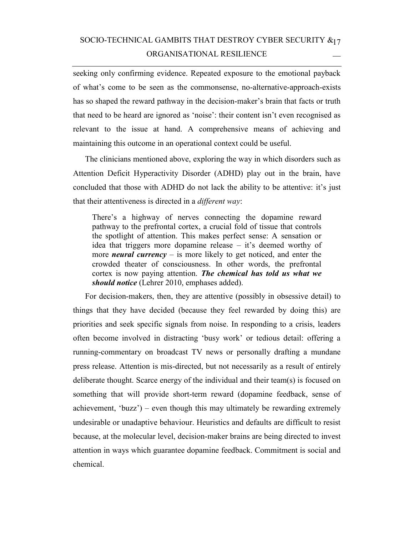# SOCIO-TECHNICAL GAMBITS THAT DESTROY CYBER SECURITY  $\alpha_{17}$ ORGANISATIONAL RESILIENCE

seeking only confirming evidence. Repeated exposure to the emotional payback of what's come to be seen as the commonsense, no-alternative-approach-exists has so shaped the reward pathway in the decision-maker's brain that facts or truth that need to be heard are ignored as 'noise': their content isn't even recognised as relevant to the issue at hand. A comprehensive means of achieving and maintaining this outcome in an operational context could be useful.

The clinicians mentioned above, exploring the way in which disorders such as Attention Deficit Hyperactivity Disorder (ADHD) play out in the brain, have concluded that those with ADHD do not lack the ability to be attentive: it's just that their attentiveness is directed in a *different way*:

There's a highway of nerves connecting the dopamine reward pathway to the prefrontal cortex, a crucial fold of tissue that controls the spotlight of attention. This makes perfect sense: A sensation or idea that triggers more dopamine release – it's deemed worthy of more *neural currency* – is more likely to get noticed, and enter the crowded theater of consciousness. In other words, the prefrontal cortex is now paying attention. *The chemical has told us what we should notice* (Lehrer 2010, emphases added).

For decision-makers, then, they are attentive (possibly in obsessive detail) to things that they have decided (because they feel rewarded by doing this) are priorities and seek specific signals from noise. In responding to a crisis, leaders often become involved in distracting 'busy work' or tedious detail: offering a running-commentary on broadcast TV news or personally drafting a mundane press release. Attention is mis-directed, but not necessarily as a result of entirely deliberate thought. Scarce energy of the individual and their team(s) is focused on something that will provide short-term reward (dopamine feedback, sense of achievement, 'buzz') – even though this may ultimately be rewarding extremely undesirable or unadaptive behaviour. Heuristics and defaults are difficult to resist because, at the molecular level, decision-maker brains are being directed to invest attention in ways which guarantee dopamine feedback. Commitment is social and chemical.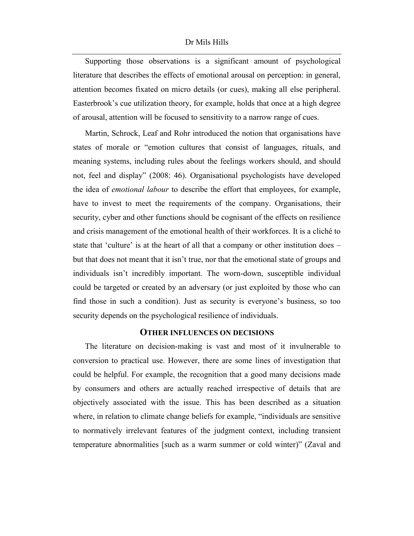#### Dr Mils Hills

Supporting those observations is a significant amount of psychological literature that describes the effects of emotional arousal on perception: in general, attention becomes fixated on micro details (or cues), making all else peripheral. Easterbrook's cue utilization theory, for example, holds that once at a high degree of arousal, attention will be focused to sensitivity to a narrow range of cues.

Martin, Schrock, Leaf and Rohr introduced the notion that organisations have states of morale or "emotion cultures that consist of languages, rituals, and meaning systems, including rules about the feelings workers should, and should not, feel and display" (2008: 46). Organisational psychologists have developed the idea of *emotional labour* to describe the effort that employees, for example, have to invest to meet the requirements of the company. Organisations, their security, cyber and other functions should be cognisant of the effects on resilience and crisis management of the emotional health of their workforces. It is a cliché to state that 'culture' is at the heart of all that a company or other institution does – but that does not meant that it isn't true, nor that the emotional state of groups and individuals isn't incredibly important. The worn-down, susceptible individual could be targeted or created by an adversary (or just exploited by those who can find those in such a condition). Just as security is everyone's business, so too security depends on the psychological resilience of individuals.

#### **OTHER INFLUENCES ON DECISIONS**

The literature on decision-making is vast and most of it invulnerable to conversion to practical use. However, there are some lines of investigation that could be helpful. For example, the recognition that a good many decisions made by consumers and others are actually reached irrespective of details that are objectively associated with the issue. This has been described as a situation where, in relation to climate change beliefs for example, "individuals are sensitive to normatively irrelevant features of the judgment context, including transient temperature abnormalities [such as a warm summer or cold winter)" (Zaval and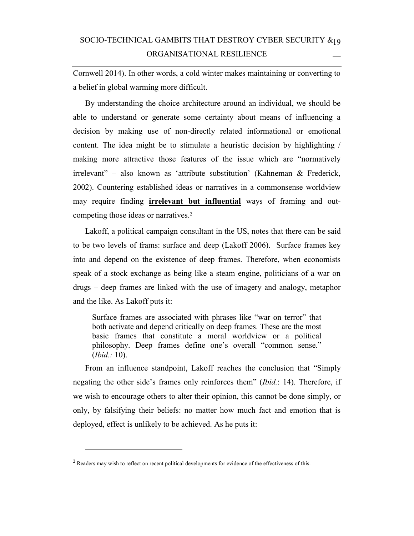# SOCIO-TECHNICAL GAMBITS THAT DESTROY CYBER SECURITY  $\boldsymbol{\&}_1$ 9 ORGANISATIONAL RESILIENCE

Cornwell 2014). In other words, a cold winter makes maintaining or converting to a belief in global warming more difficult.

By understanding the choice architecture around an individual, we should be able to understand or generate some certainty about means of influencing a decision by making use of non-directly related informational or emotional content. The idea might be to stimulate a heuristic decision by highlighting / making more attractive those features of the issue which are "normatively irrelevant" – also known as 'attribute substitution' (Kahneman & Frederick, 2002). Countering established ideas or narratives in a commonsense worldview may require finding **irrelevant but influential** ways of framing and outcompeting those ideas or narratives.<sup>2</sup>

Lakoff, a political campaign consultant in the US, notes that there can be said to be two levels of frams: surface and deep (Lakoff 2006). Surface frames key into and depend on the existence of deep frames. Therefore, when economists speak of a stock exchange as being like a steam engine, politicians of a war on drugs – deep frames are linked with the use of imagery and analogy, metaphor and the like. As Lakoff puts it:

Surface frames are associated with phrases like "war on terror" that both activate and depend critically on deep frames. These are the most basic frames that constitute a moral worldview or a political philosophy. Deep frames define one's overall "common sense." (*Ibid.:* 10).

From an influence standpoint, Lakoff reaches the conclusion that "Simply negating the other side's frames only reinforces them" (*Ibid.*: 14). Therefore, if we wish to encourage others to alter their opinion, this cannot be done simply, or only, by falsifying their beliefs: no matter how much fact and emotion that is deployed, effect is unlikely to be achieved. As he puts it:

-

 $2$  Readers may wish to reflect on recent political developments for evidence of the effectiveness of this.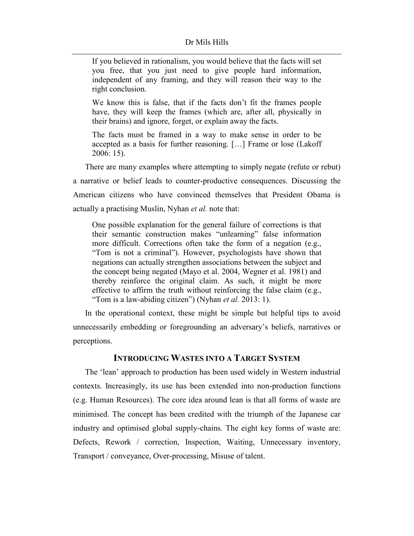If you believed in rationalism, you would believe that the facts will set you free, that you just need to give people hard information, independent of any framing, and they will reason their way to the right conclusion.

We know this is false, that if the facts don't fit the frames people have, they will keep the frames (which are, after all, physically in their brains) and ignore, forget, or explain away the facts.

The facts must be framed in a way to make sense in order to be accepted as a basis for further reasoning. […] Frame or lose (Lakoff 2006: 15).

There are many examples where attempting to simply negate (refute or rebut) a narrative or belief leads to counter-productive consequences. Discussing the American citizens who have convinced themselves that President Obama is actually a practising Muslin, Nyhan *et al.* note that:

One possible explanation for the general failure of corrections is that their semantic construction makes "unlearning" false information more difficult. Corrections often take the form of a negation (e.g., "Tom is not a criminal"). However, psychologists have shown that negations can actually strengthen associations between the subject and the concept being negated (Mayo et al. 2004, Wegner et al. 1981) and thereby reinforce the original claim. As such, it might be more effective to affirm the truth without reinforcing the false claim (e.g., "Tom is a law-abiding citizen") (Nyhan *et al.* 2013: 1).

In the operational context, these might be simple but helpful tips to avoid unnecessarily embedding or foregrounding an adversary's beliefs, narratives or perceptions.

### **INTRODUCING WASTES INTO A TARGET SYSTEM**

The 'lean' approach to production has been used widely in Western industrial contexts. Increasingly, its use has been extended into non-production functions (e.g. Human Resources). The core idea around lean is that all forms of waste are minimised. The concept has been credited with the triumph of the Japanese car industry and optimised global supply-chains. The eight key forms of waste are: Defects, Rework / correction, Inspection, Waiting, Unnecessary inventory, Transport / conveyance, Over-processing, Misuse of talent.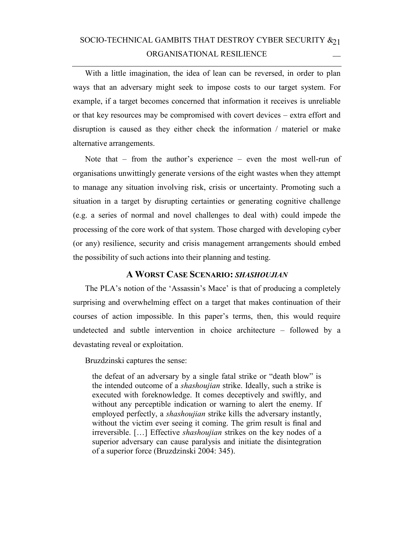# SOCIO-TECHNICAL GAMBITS THAT DESTROY CYBER SECURITY  $\&_{21}$ ORGANISATIONAL RESILIENCE

With a little imagination, the idea of lean can be reversed, in order to plan ways that an adversary might seek to impose costs to our target system. For example, if a target becomes concerned that information it receives is unreliable or that key resources may be compromised with covert devices – extra effort and disruption is caused as they either check the information / materiel or make alternative arrangements.

Note that – from the author's experience – even the most well-run of organisations unwittingly generate versions of the eight wastes when they attempt to manage any situation involving risk, crisis or uncertainty. Promoting such a situation in a target by disrupting certainties or generating cognitive challenge (e.g. a series of normal and novel challenges to deal with) could impede the processing of the core work of that system. Those charged with developing cyber (or any) resilience, security and crisis management arrangements should embed the possibility of such actions into their planning and testing.

### **A WORST CASE SCENARIO:** *SHASHOUJIAN*

The PLA's notion of the 'Assassin's Mace' is that of producing a completely surprising and overwhelming effect on a target that makes continuation of their courses of action impossible. In this paper's terms, then, this would require undetected and subtle intervention in choice architecture – followed by a devastating reveal or exploitation.

Bruzdzinski captures the sense:

the defeat of an adversary by a single fatal strike or "death blow" is the intended outcome of a *shashoujian* strike. Ideally, such a strike is executed with foreknowledge. It comes deceptively and swiftly, and without any perceptible indication or warning to alert the enemy. If employed perfectly, a *shashoujian* strike kills the adversary instantly, without the victim ever seeing it coming. The grim result is final and irreversible. […] Effective *shashoujian* strikes on the key nodes of a superior adversary can cause paralysis and initiate the disintegration of a superior force (Bruzdzinski 2004: 345).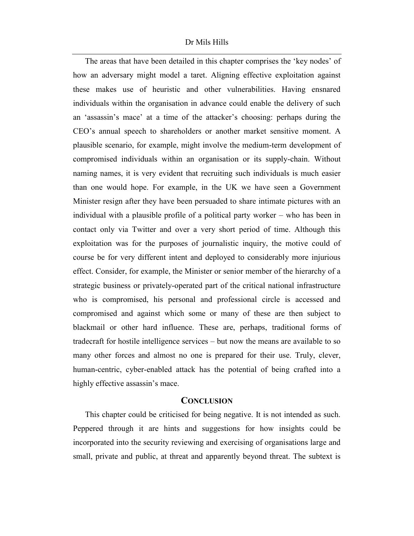#### Dr Mils Hills

The areas that have been detailed in this chapter comprises the 'key nodes' of how an adversary might model a taret. Aligning effective exploitation against these makes use of heuristic and other vulnerabilities. Having ensnared individuals within the organisation in advance could enable the delivery of such an 'assassin's mace' at a time of the attacker's choosing: perhaps during the CEO's annual speech to shareholders or another market sensitive moment. A plausible scenario, for example, might involve the medium-term development of compromised individuals within an organisation or its supply-chain. Without naming names, it is very evident that recruiting such individuals is much easier than one would hope. For example, in the UK we have seen a Government Minister resign after they have been persuaded to share intimate pictures with an individual with a plausible profile of a political party worker – who has been in contact only via Twitter and over a very short period of time. Although this exploitation was for the purposes of journalistic inquiry, the motive could of course be for very different intent and deployed to considerably more injurious effect. Consider, for example, the Minister or senior member of the hierarchy of a strategic business or privately-operated part of the critical national infrastructure who is compromised, his personal and professional circle is accessed and compromised and against which some or many of these are then subject to blackmail or other hard influence. These are, perhaps, traditional forms of tradecraft for hostile intelligence services – but now the means are available to so many other forces and almost no one is prepared for their use. Truly, clever, human-centric, cyber-enabled attack has the potential of being crafted into a highly effective assassin's mace.

#### **CONCLUSION**

This chapter could be criticised for being negative. It is not intended as such. Peppered through it are hints and suggestions for how insights could be incorporated into the security reviewing and exercising of organisations large and small, private and public, at threat and apparently beyond threat. The subtext is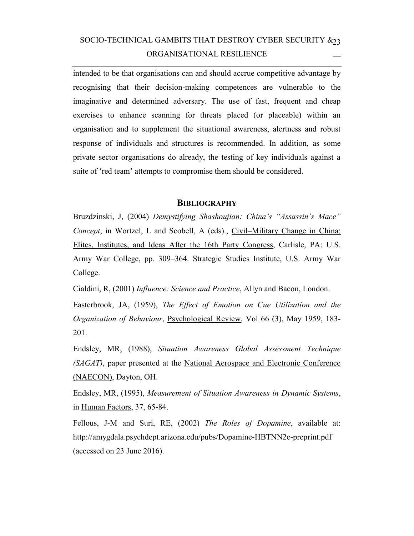# SOCIO-TECHNICAL GAMBITS THAT DESTROY CYBER SECURITY  $\&_{23}$ ORGANISATIONAL RESILIENCE

intended to be that organisations can and should accrue competitive advantage by recognising that their decision-making competences are vulnerable to the imaginative and determined adversary. The use of fast, frequent and cheap exercises to enhance scanning for threats placed (or placeable) within an organisation and to supplement the situational awareness, alertness and robust response of individuals and structures is recommended. In addition, as some private sector organisations do already, the testing of key individuals against a suite of 'red team' attempts to compromise them should be considered.

#### **BIBLIOGRAPHY**

Bruzdzinski, J, (2004) *Demystifying Shashoujian: China's "Assassin's Mace" Concept*, in Wortzel, L and Scobell, A (eds)., Civil–Military Change in China: Elites, Institutes, and Ideas After the 16th Party Congress, Carlisle, PA: U.S. Army War College, pp. 309–364. Strategic Studies Institute, U.S. Army War College.

Cialdini, R, (2001) *Influence: Science and Practice*, Allyn and Bacon, London.

Easterbrook, JA, (1959), *The Effect of Emotion on Cue Utilization and the Organization of Behaviour*, Psychological Review, Vol 66 (3), May 1959, 183- 201.

Endsley, MR, (1988), *Situation Awareness Global Assessment Technique (SAGAT)*, paper presented at the National Aerospace and Electronic Conference (NAECON), Dayton, OH.

Endsley, MR, (1995), *Measurement of Situation Awareness in Dynamic Systems*, in Human Factors, 37, 65-84.

Fellous, J-M and Suri, RE, (2002) *The Roles of Dopamine*, available at: http://amygdala.psychdept.arizona.edu/pubs/Dopamine-HBTNN2e-preprint.pdf (accessed on 23 June 2016).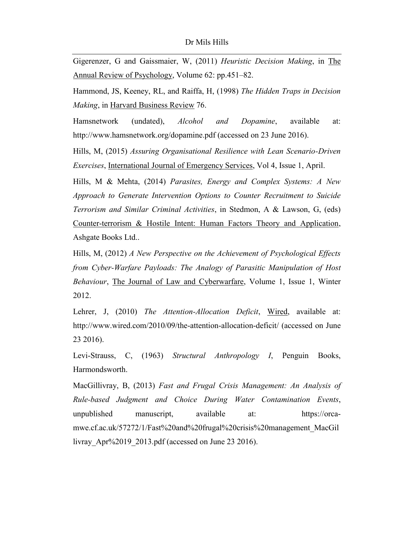Gigerenzer, G and Gaissmaier, W, (2011) *Heuristic Decision Making*, in The Annual Review of Psychology, Volume 62: pp.451–82.

Hammond, JS, Keeney, RL, and Raiffa, H, (1998) *The Hidden Traps in Decision Making*, in Harvard Business Review 76.

Hamsnetwork (undated), *Alcohol and Dopamine*, available at: http://www.hamsnetwork.org/dopamine.pdf (accessed on 23 June 2016).

Hills, M, (2015) *Assuring Organisational Resilience with Lean Scenario-Driven Exercises*, International Journal of Emergency Services, Vol 4, Issue 1, April.

Hills, M & Mehta, (2014) *Parasites, Energy and Complex Systems: A New Approach to Generate Intervention Options to Counter Recruitment to Suicide Terrorism and Similar Criminal Activities*, in Stedmon, A & Lawson, G, (eds) Counter-terrorism & Hostile Intent: Human Factors Theory and Application, Ashgate Books Ltd..

Hills, M, (2012) *A New Perspective on the Achievement of Psychological Effects from Cyber-Warfare Payloads: The Analogy of Parasitic Manipulation of Host Behaviour*, The Journal of Law and Cyberwarfare, Volume 1, Issue 1, Winter 2012.

Lehrer, J, (2010) *The Attention-Allocation Deficit*, Wired, available at: http://www.wired.com/2010/09/the-attention-allocation-deficit/ (accessed on June 23 2016).

Levi-Strauss, C, (1963) *Structural Anthropology I*, Penguin Books, Harmondsworth.

MacGillivray, B, (2013) *Fast and Frugal Crisis Management: An Analysis of Rule-based Judgment and Choice During Water Contamination Events*, unpublished manuscript, available at: https://orcamwe.cf.ac.uk/57272/1/Fast%20and%20frugal%20crisis%20management\_MacGil livray\_Apr%2019\_2013.pdf (accessed on June 23 2016).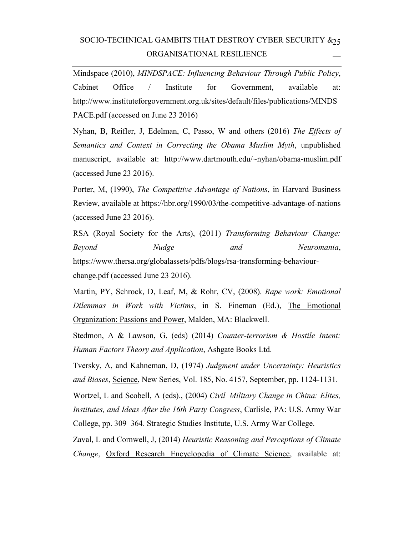## SOCIO-TECHNICAL GAMBITS THAT DESTROY CYBER SECURITY  $\&_{25}$ ORGANISATIONAL RESILIENCE

Mindspace (2010), *MINDSPACE: Influencing Behaviour Through Public Policy*, Cabinet Office / Institute for Government, available at: http://www.instituteforgovernment.org.uk/sites/default/files/publications/MINDS PACE.pdf (accessed on June 23 2016)

Nyhan, B, Reifler, J, Edelman, C, Passo, W and others (2016) *The Effects of Semantics and Context in Correcting the Obama Muslim Myth*, unpublished manuscript, available at: http://www.dartmouth.edu/~nyhan/obama-muslim.pdf (accessed June 23 2016).

Porter, M, (1990), *The Competitive Advantage of Nations*, in Harvard Business Review, available at https://hbr.org/1990/03/the-competitive-advantage-of-nations (accessed June 23 2016).

RSA (Royal Society for the Arts), (2011) *Transforming Behaviour Change: Beyond Nudge and Neuromania*, https://www.thersa.org/globalassets/pdfs/blogs/rsa-transforming-behaviourchange.pdf (accessed June 23 2016).

Martin, PY, Schrock, D, Leaf, M, & Rohr, CV, (2008). *Rape work: Emotional Dilemmas in Work with Victims*, in S. Fineman (Ed.), The Emotional Organization: Passions and Power, Malden, MA: Blackwell.

Stedmon, A & Lawson, G, (eds) (2014) *Counter-terrorism & Hostile Intent: Human Factors Theory and Application*, Ashgate Books Ltd.

Tversky, A, and Kahneman, D, (1974) *Judgment under Uncertainty: Heuristics and Biases*, Science, New Series, Vol. 185, No. 4157, September, pp. 1124-1131.

Wortzel, L and Scobell, A (eds)., (2004) *Civil–Military Change in China: Elites, Institutes, and Ideas After the 16th Party Congress*, Carlisle, PA: U.S. Army War College, pp. 309–364. Strategic Studies Institute, U.S. Army War College.

Zaval, L and Cornwell, J, (2014) *Heuristic Reasoning and Perceptions of Climate Change*, Oxford Research Encyclopedia of Climate Science, available at: